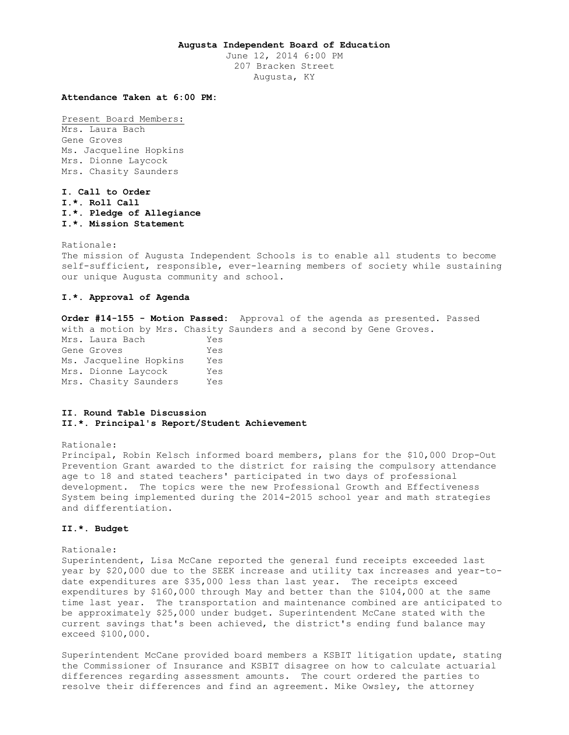# **Augusta Independent Board of Education**

June 12, 2014 6:00 PM 207 Bracken Street Augusta, KY

## **Attendance Taken at 6:00 PM:**

Present Board Members: Mrs. Laura Bach Gene Groves Ms. Jacqueline Hopkins Mrs. Dionne Laycock Mrs. Chasity Saunders

**I. Call to Order I.\*. Roll Call I.\*. Pledge of Allegiance I.\*. Mission Statement** 

Rationale: The mission of Augusta Independent Schools is to enable all students to become self-sufficient, responsible, ever-learning members of society while sustaining our unique Augusta community and school.

# **I.\*. Approval of Agenda**

**Order #14-155 - Motion Passed:** Approval of the agenda as presented. Passed with a motion by Mrs. Chasity Saunders and a second by Gene Groves. Mrs. Laura Bach Yes Gene Groves Tes Ms. Jacqueline Hopkins Yes Mrs. Dionne Laycock Yes Mrs. Chasity Saunders Yes

# **II. Round Table Discussion II.\*. Principal's Report/Student Achievement**

Rationale:

Principal, Robin Kelsch informed board members, plans for the \$10,000 Drop-Out Prevention Grant awarded to the district for raising the compulsory attendance age to 18 and stated teachers' participated in two days of professional development. The topics were the new Professional Growth and Effectiveness System being implemented during the 2014-2015 school year and math strategies and differentiation.

## **II.\*. Budget**

```
Rationale:
```
Superintendent, Lisa McCane reported the general fund receipts exceeded last year by \$20,000 due to the SEEK increase and utility tax increases and year-todate expenditures are \$35,000 less than last year. The receipts exceed expenditures by \$160,000 through May and better than the \$104,000 at the same time last year. The transportation and maintenance combined are anticipated to be approximately \$25,000 under budget. Superintendent McCane stated with the current savings that's been achieved, the district's ending fund balance may exceed \$100,000.

Superintendent McCane provided board members a KSBIT litigation update, stating the Commissioner of Insurance and KSBIT disagree on how to calculate actuarial differences regarding assessment amounts. The court ordered the parties to resolve their differences and find an agreement. Mike Owsley, the attorney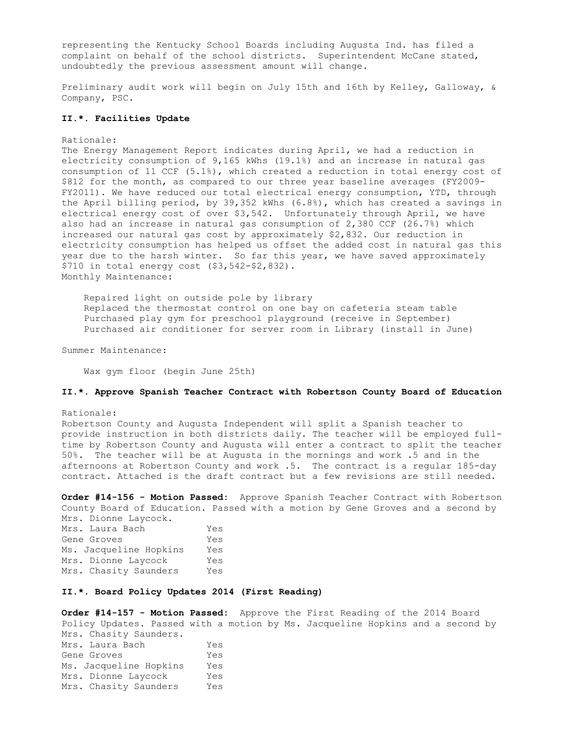representing the Kentucky School Boards including Augusta Ind. has filed a complaint on behalf of the school districts. Superintendent McCane stated, undoubtedly the previous assessment amount will change.

Preliminary audit work will begin on July 15th and 16th by Kelley, Galloway, & Company, PSC.

## **II.\*. Facilities Update**

#### Rationale:

The Energy Management Report indicates during April, we had a reduction in electricity consumption of 9,165 kWhs (19.1%) and an increase in natural gas consumption of 11 CCF (5.1%), which created a reduction in total energy cost of \$812 for the month, as compared to our three year baseline averages (FY2009- FY2011). We have reduced our total electrical energy consumption, YTD, through the April billing period, by 39,352 kWhs (6.8%), which has created a savings in electrical energy cost of over \$3,542. Unfortunately through April, we have also had an increase in natural gas consumption of 2,380 CCF (26.7%) which increased our natural gas cost by approximately \$2,832. Our reduction in electricity consumption has helped us offset the added cost in natural gas this year due to the harsh winter. So far this year, we have saved approximately \$710 in total energy cost (\$3,542-\$2,832). Monthly Maintenance:

 Repaired light on outside pole by library Replaced the thermostat control on one bay on cafeteria steam table Purchased play gym for preschool playground (receive in September) Purchased air conditioner for server room in Library (install in June)

Summer Maintenance:

Wax gym floor (begin June 25th)

### **II.\*. Approve Spanish Teacher Contract with Robertson County Board of Education**

#### Rationale:

Robertson County and Augusta Independent will split a Spanish teacher to provide instruction in both districts daily. The teacher will be employed fulltime by Robertson County and Augusta will enter a contract to split the teacher 50%. The teacher will be at Augusta in the mornings and work .5 and in the afternoons at Robertson County and work .5. The contract is a regular 185-day contract. Attached is the draft contract but a few revisions are still needed.

**Order #14-156 - Motion Passed:** Approve Spanish Teacher Contract with Robertson County Board of Education. Passed with a motion by Gene Groves and a second by

Mrs. Dionne Laycock. Mrs. Laura Bach Yes Gene Groves Yes Ms. Jacqueline Hopkins Yes Mrs. Dionne Laycock Yes Mrs. Chasity Saunders Yes

## **II.\*. Board Policy Updates 2014 (First Reading)**

**Order #14-157 - Motion Passed:** Approve the First Reading of the 2014 Board Policy Updates. Passed with a motion by Ms. Jacqueline Hopkins and a second by Mrs. Chasity Saunders. Mrs. Laura Bach Yes Gene Groves Tes Ms. Jacqueline Hopkins Yes Mrs. Dionne Laycock Yes Mrs. Chasity Saunders Yes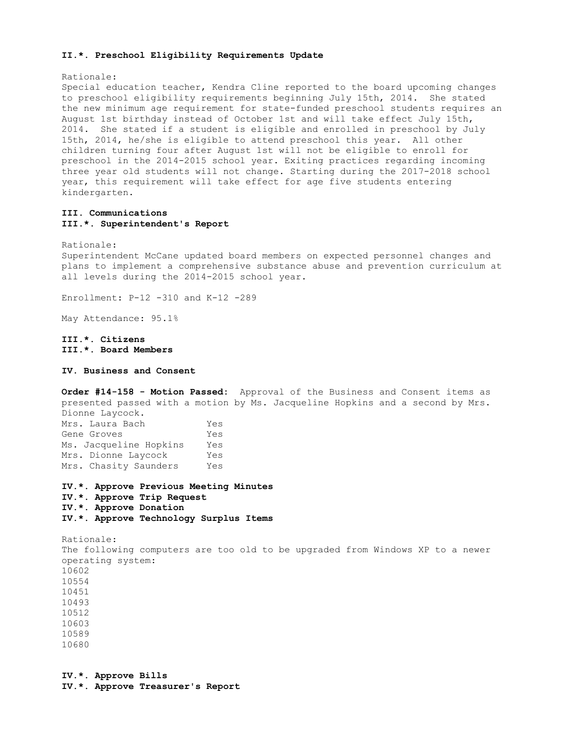### **II.\*. Preschool Eligibility Requirements Update**

Rationale:

Special education teacher, Kendra Cline reported to the board upcoming changes to preschool eligibility requirements beginning July 15th, 2014. She stated the new minimum age requirement for state-funded preschool students requires an August 1st birthday instead of October 1st and will take effect July 15th, 2014. She stated if a student is eligible and enrolled in preschool by July 15th, 2014, he/she is eligible to attend preschool this year. All other children turning four after August 1st will not be eligible to enroll for preschool in the 2014-2015 school year. Exiting practices regarding incoming three year old students will not change. Starting during the 2017-2018 school year, this requirement will take effect for age five students entering kindergarten.

# **III. Communications III.\*. Superintendent's Report**

Rationale:

Superintendent McCane updated board members on expected personnel changes and plans to implement a comprehensive substance abuse and prevention curriculum at all levels during the 2014-2015 school year.

Enrollment: P-12 -310 and K-12 -289

May Attendance: 95.1%

**III.\*. Citizens III.\*. Board Members** 

**IV. Business and Consent** 

**Order #14-158 - Motion Passed:** Approval of the Business and Consent items as presented passed with a motion by Ms. Jacqueline Hopkins and a second by Mrs. Dionne Laycock. Mrs. Laura Bach Yes Gene Groves Yes Ms. Jacqueline Hopkins Yes Mrs. Dionne Laycock Yes Mrs. Chasity Saunders Yes

**IV.\*. Approve Previous Meeting Minutes IV.\*. Approve Trip Request IV.\*. Approve Donation IV.\*. Approve Technology Surplus Items** 

Rationale: The following computers are too old to be upgraded from Windows XP to a newer operating system: 10602 10554 10451 10493 10512 10603 10589 10680

**IV.\*. Approve Bills IV.\*. Approve Treasurer's Report**